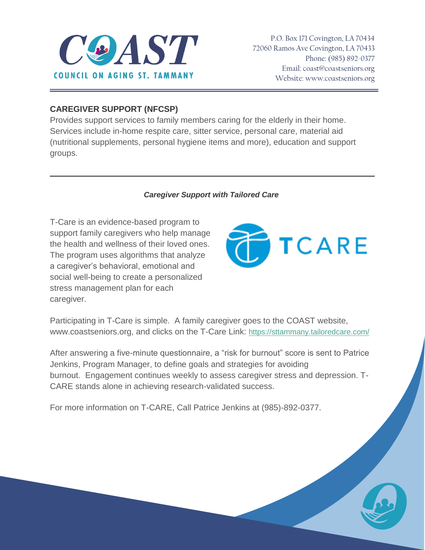

P.O. Box 171 Covington, LA 70434 72060 Ramos Ave Covington, LA 70433 Phone: (985) 892-0377 Email[: coast@coastseniors.org](mailto:coast@coastseniors.org) Website: [www.coastseniors.org](http://www.coastseniors.org/)

### **CAREGIVER SUPPORT (NFCSP)**

Provides support services to family members caring for the elderly in their home. Services include in-home respite care, sitter service, personal care, material aid (nutritional supplements, personal hygiene items and more), education and support groups.

#### *Caregiver Support with Tailored Care*

T-Care is an evidence-based program to support family caregivers who help manage the health and wellness of their loved ones. The program uses algorithms that analyze a caregiver's behavioral, emotional and social well-being to create a personalized stress management plan for each caregiver.



Participating in T-Care is simple. A family caregiver goes to the COAST website, www.coastseniors.org, and clicks on the T-Care Link: [https://sttammany.tailoredcare.com/](https://linkprotect.cudasvc.com/url?a=https%3a%2f%2fsttammany.tailoredcare.com%2f&c=E,1,s3ImoyKCJDmHz8IQZS8juXWbUBaByjiVCSPbcA1H6xYOPqz2VAUjEFJJkSfRAsqp0bRpsoauTrtBVKqLEj8rAJXcwLYKUTe6pV1n9IgYOA,,&typo=1)

After answering a five-minute questionnaire, a "risk for burnout" score is sent to Patrice Jenkins, Program Manager, to define goals and strategies for avoiding burnout. Engagement continues weekly to assess caregiver stress and depression. T-CARE stands alone in achieving research-validated success.

For more information on T-CARE, Call Patrice Jenkins at (985)-892-0377.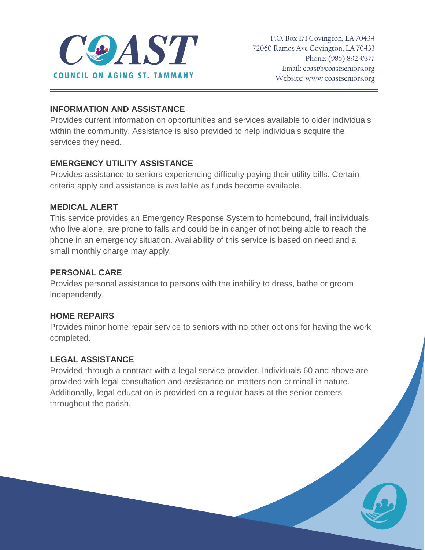

## **INFORMATION AND ASSISTANCE**

Provides current information on opportunities and services available to older individuals within the community. Assistance is also provided to help individuals acquire the services they need.

## **EMERGENCY UTILITY ASSISTANCE**

Provides assistance to seniors experiencing difficulty paying their utility bills. Certain criteria apply and assistance is available as funds become available.

## **MEDICAL ALERT**

This service provides an Emergency Response System to homebound, frail individuals who live alone, are prone to falls and could be in danger of not being able to reach the phone in an emergency situation. Availability of this service is based on need and a small monthly charge may apply.

## **PERSONAL CARE**

Provides personal assistance to persons with the inability to dress, bathe or groom independently.

# **HOME REPAIRS**

Provides minor home repair service to seniors with no other options for having the work completed.

# **LEGAL ASSISTANCE**

Provided through a contract with a legal service provider. Individuals 60 and above are provided with legal consultation and assistance on matters non-criminal in nature. Additionally, legal education is provided on a regular basis at the senior centers throughout the parish.